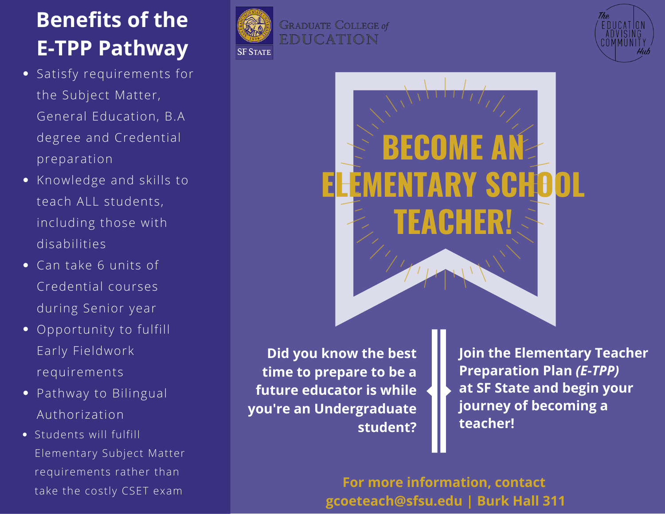## **Benefits of the E-TPP Pathway**

- Satisfy requirements for the Subject Matter, General Education, B.A degree and Credential preparation
- Knowledge and skills to teach ALL students, including those with disabilities
- Can take 6 units of Credential courses during Senior year
- Opportunity to fulfill Early Fieldwork requirements
- Pathway to Bilingual Authorization
- Students will fulfill Elementary Subject Matter requirements rather than take the costly CSET exam







**Did you know the best time to prepare to be a future educator is while you're an Undergraduate student?**

**Join the Elementary Teacher Preparation Plan** *(E-TPP)* **at SF State and begin your journey of becoming a teacher!**

**For more information, contact gcoeteach@sfsu.edu | Burk Hall 311**